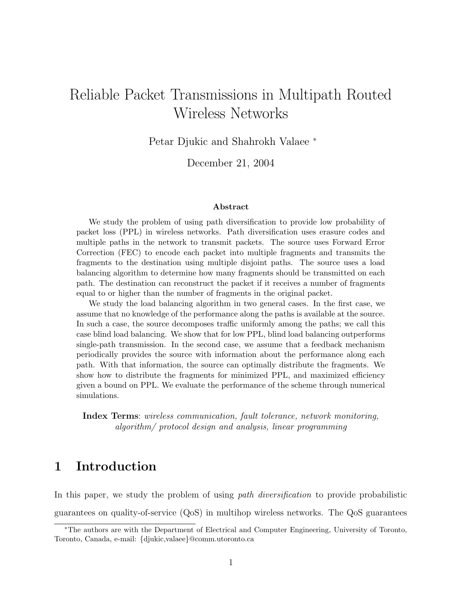# Reliable Packet Transmissions in Multipath Routed Wireless Networks

Petar Djukic and Shahrokh Valaee <sup>∗</sup>

December 21, 2004

#### Abstract

We study the problem of using path diversification to provide low probability of packet loss (PPL) in wireless networks. Path diversification uses erasure codes and multiple paths in the network to transmit packets. The source uses Forward Error Correction (FEC) to encode each packet into multiple fragments and transmits the fragments to the destination using multiple disjoint paths. The source uses a load balancing algorithm to determine how many fragments should be transmitted on each path. The destination can reconstruct the packet if it receives a number of fragments equal to or higher than the number of fragments in the original packet.

We study the load balancing algorithm in two general cases. In the first case, we assume that no knowledge of the performance along the paths is available at the source. In such a case, the source decomposes traffic uniformly among the paths; we call this case blind load balancing. We show that for low PPL, blind load balancing outperforms single-path transmission. In the second case, we assume that a feedback mechanism periodically provides the source with information about the performance along each path. With that information, the source can optimally distribute the fragments. We show how to distribute the fragments for minimized PPL, and maximized efficiency given a bound on PPL. We evaluate the performance of the scheme through numerical simulations.

Index Terms: wireless communication, fault tolerance, network monitoring, algorithm/ protocol design and analysis, linear programming

# 1 Introduction

In this paper, we study the problem of using path diversification to provide probabilistic guarantees on quality-of-service (QoS) in multihop wireless networks. The QoS guarantees

<sup>∗</sup>The authors are with the Department of Electrical and Computer Engineering, University of Toronto, Toronto, Canada, e-mail: {djukic,valaee}@comm.utoronto.ca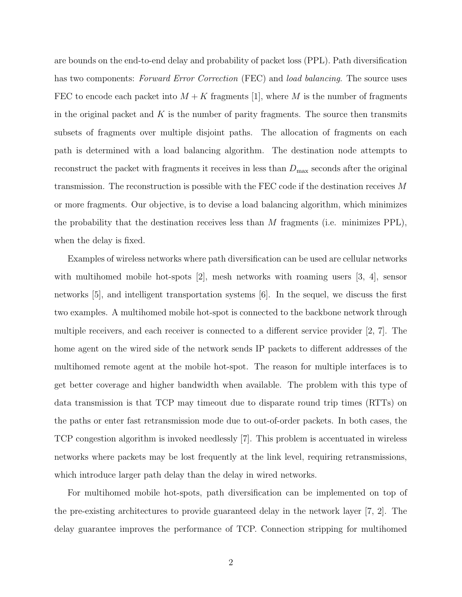are bounds on the end-to-end delay and probability of packet loss (PPL). Path diversification has two components: Forward Error Correction (FEC) and load balancing. The source uses FEC to encode each packet into  $M + K$  fragments [1], where M is the number of fragments in the original packet and  $K$  is the number of parity fragments. The source then transmits subsets of fragments over multiple disjoint paths. The allocation of fragments on each path is determined with a load balancing algorithm. The destination node attempts to reconstruct the packet with fragments it receives in less than  $D_{\text{max}}$  seconds after the original transmission. The reconstruction is possible with the FEC code if the destination receives M or more fragments. Our objective, is to devise a load balancing algorithm, which minimizes the probability that the destination receives less than  $M$  fragments (i.e. minimizes PPL), when the delay is fixed.

Examples of wireless networks where path diversification can be used are cellular networks with multihomed mobile hot-spots [2], mesh networks with roaming users [3, 4], sensor networks [5], and intelligent transportation systems [6]. In the sequel, we discuss the first two examples. A multihomed mobile hot-spot is connected to the backbone network through multiple receivers, and each receiver is connected to a different service provider [2, 7]. The home agent on the wired side of the network sends IP packets to different addresses of the multihomed remote agent at the mobile hot-spot. The reason for multiple interfaces is to get better coverage and higher bandwidth when available. The problem with this type of data transmission is that TCP may timeout due to disparate round trip times (RTTs) on the paths or enter fast retransmission mode due to out-of-order packets. In both cases, the TCP congestion algorithm is invoked needlessly [7]. This problem is accentuated in wireless networks where packets may be lost frequently at the link level, requiring retransmissions, which introduce larger path delay than the delay in wired networks.

For multihomed mobile hot-spots, path diversification can be implemented on top of the pre-existing architectures to provide guaranteed delay in the network layer [7, 2]. The delay guarantee improves the performance of TCP. Connection stripping for multihomed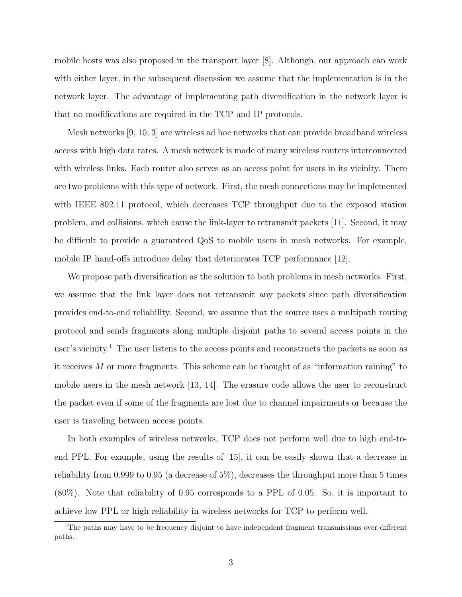mobile hosts was also proposed in the transport layer [8]. Although, our approach can work with either layer, in the subsequent discussion we assume that the implementation is in the network layer. The advantage of implementing path diversification in the network layer is that no modifications are required in the TCP and IP protocols.

Mesh networks [9, 10, 3] are wireless ad hoc networks that can provide broadband wireless access with high data rates. A mesh network is made of many wireless routers interconnected with wireless links. Each router also serves as an access point for users in its vicinity. There are two problems with this type of network. First, the mesh connections may be implemented with IEEE 802.11 protocol, which decreases TCP throughput due to the exposed station problem, and collisions, which cause the link-layer to retransmit packets [11]. Second, it may be difficult to provide a guaranteed QoS to mobile users in mesh networks. For example, mobile IP hand-offs introduce delay that deteriorates TCP performance [12].

We propose path diversification as the solution to both problems in mesh networks. First, we assume that the link layer does not retransmit any packets since path diversification provides end-to-end reliability. Second, we assume that the source uses a multipath routing protocol and sends fragments along multiple disjoint paths to several access points in the user's vicinity.<sup>1</sup> The user listens to the access points and reconstructs the packets as soon as it receives  $M$  or more fragments. This scheme can be thought of as "information raining" to mobile users in the mesh network [13, 14]. The erasure code allows the user to reconstruct the packet even if some of the fragments are lost due to channel impairments or because the user is traveling between access points.

In both examples of wireless networks, TCP does not perform well due to high end-toend PPL. For example, using the results of [15], it can be easily shown that a decrease in reliability from 0.999 to 0.95 (a decrease of 5%), decreases the throughput more than 5 times (80%). Note that reliability of 0.95 corresponds to a PPL of 0.05. So, it is important to achieve low PPL or high reliability in wireless networks for TCP to perform well.

<sup>&</sup>lt;sup>1</sup>The paths may have to be frequency disjoint to have independent fragment transmissions over different paths.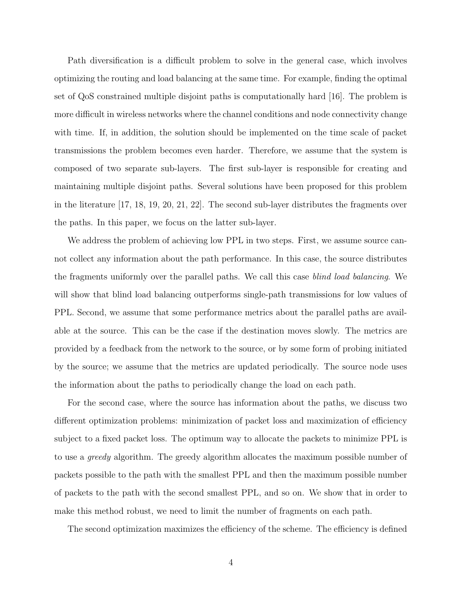Path diversification is a difficult problem to solve in the general case, which involves optimizing the routing and load balancing at the same time. For example, finding the optimal set of QoS constrained multiple disjoint paths is computationally hard [16]. The problem is more difficult in wireless networks where the channel conditions and node connectivity change with time. If, in addition, the solution should be implemented on the time scale of packet transmissions the problem becomes even harder. Therefore, we assume that the system is composed of two separate sub-layers. The first sub-layer is responsible for creating and maintaining multiple disjoint paths. Several solutions have been proposed for this problem in the literature [17, 18, 19, 20, 21, 22]. The second sub-layer distributes the fragments over the paths. In this paper, we focus on the latter sub-layer.

We address the problem of achieving low PPL in two steps. First, we assume source cannot collect any information about the path performance. In this case, the source distributes the fragments uniformly over the parallel paths. We call this case blind load balancing. We will show that blind load balancing outperforms single-path transmissions for low values of PPL. Second, we assume that some performance metrics about the parallel paths are available at the source. This can be the case if the destination moves slowly. The metrics are provided by a feedback from the network to the source, or by some form of probing initiated by the source; we assume that the metrics are updated periodically. The source node uses the information about the paths to periodically change the load on each path.

For the second case, where the source has information about the paths, we discuss two different optimization problems: minimization of packet loss and maximization of efficiency subject to a fixed packet loss. The optimum way to allocate the packets to minimize PPL is to use a greedy algorithm. The greedy algorithm allocates the maximum possible number of packets possible to the path with the smallest PPL and then the maximum possible number of packets to the path with the second smallest PPL, and so on. We show that in order to make this method robust, we need to limit the number of fragments on each path.

The second optimization maximizes the efficiency of the scheme. The efficiency is defined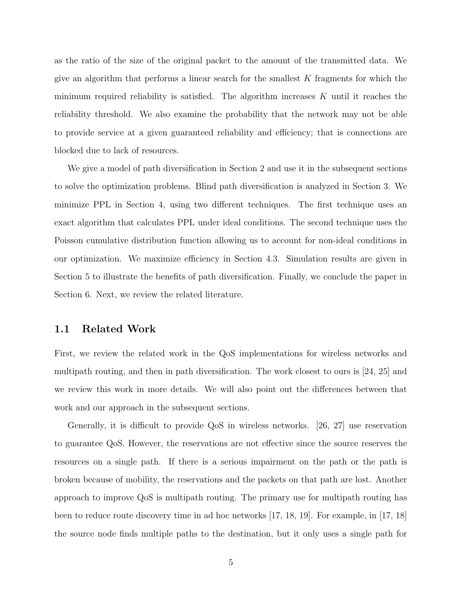as the ratio of the size of the original packet to the amount of the transmitted data. We give an algorithm that performs a linear search for the smallest  $K$  fragments for which the minimum required reliability is satisfied. The algorithm increases  $K$  until it reaches the reliability threshold. We also examine the probability that the network may not be able to provide service at a given guaranteed reliability and efficiency; that is connections are blocked due to lack of resources.

We give a model of path diversification in Section 2 and use it in the subsequent sections to solve the optimization problems. Blind path diversification is analyzed in Section 3. We minimize PPL in Section 4, using two different techniques. The first technique uses an exact algorithm that calculates PPL under ideal conditions. The second technique uses the Poisson cumulative distribution function allowing us to account for non-ideal conditions in our optimization. We maximize efficiency in Section 4.3. Simulation results are given in Section 5 to illustrate the benefits of path diversification. Finally, we conclude the paper in Section 6. Next, we review the related literature.

### 1.1 Related Work

First, we review the related work in the QoS implementations for wireless networks and multipath routing, and then in path diversification. The work closest to ours is [24, 25] and we review this work in more details. We will also point out the differences between that work and our approach in the subsequent sections.

Generally, it is difficult to provide QoS in wireless networks. [26, 27] use reservation to guarantee QoS. However, the reservations are not effective since the source reserves the resources on a single path. If there is a serious impairment on the path or the path is broken because of mobility, the reservations and the packets on that path are lost. Another approach to improve QoS is multipath routing. The primary use for multipath routing has been to reduce route discovery time in ad hoc networks [17, 18, 19]. For example, in [17, 18] the source node finds multiple paths to the destination, but it only uses a single path for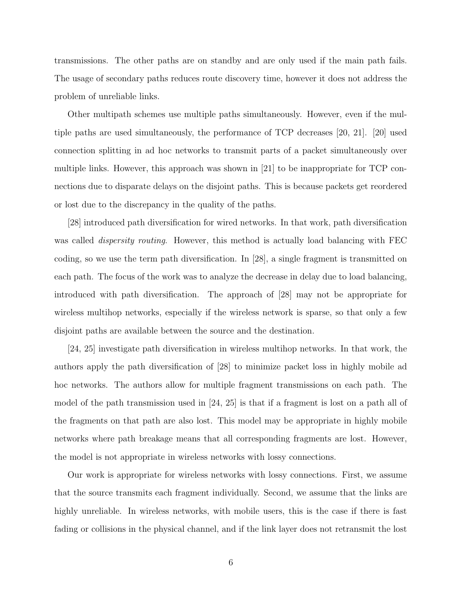transmissions. The other paths are on standby and are only used if the main path fails. The usage of secondary paths reduces route discovery time, however it does not address the problem of unreliable links.

Other multipath schemes use multiple paths simultaneously. However, even if the multiple paths are used simultaneously, the performance of TCP decreases [20, 21]. [20] used connection splitting in ad hoc networks to transmit parts of a packet simultaneously over multiple links. However, this approach was shown in  $|21|$  to be inappropriate for TCP connections due to disparate delays on the disjoint paths. This is because packets get reordered or lost due to the discrepancy in the quality of the paths.

[28] introduced path diversification for wired networks. In that work, path diversification was called *dispersity routing*. However, this method is actually load balancing with FEC coding, so we use the term path diversification. In [28], a single fragment is transmitted on each path. The focus of the work was to analyze the decrease in delay due to load balancing, introduced with path diversification. The approach of [28] may not be appropriate for wireless multihop networks, especially if the wireless network is sparse, so that only a few disjoint paths are available between the source and the destination.

[24, 25] investigate path diversification in wireless multihop networks. In that work, the authors apply the path diversification of [28] to minimize packet loss in highly mobile ad hoc networks. The authors allow for multiple fragment transmissions on each path. The model of the path transmission used in [24, 25] is that if a fragment is lost on a path all of the fragments on that path are also lost. This model may be appropriate in highly mobile networks where path breakage means that all corresponding fragments are lost. However, the model is not appropriate in wireless networks with lossy connections.

Our work is appropriate for wireless networks with lossy connections. First, we assume that the source transmits each fragment individually. Second, we assume that the links are highly unreliable. In wireless networks, with mobile users, this is the case if there is fast fading or collisions in the physical channel, and if the link layer does not retransmit the lost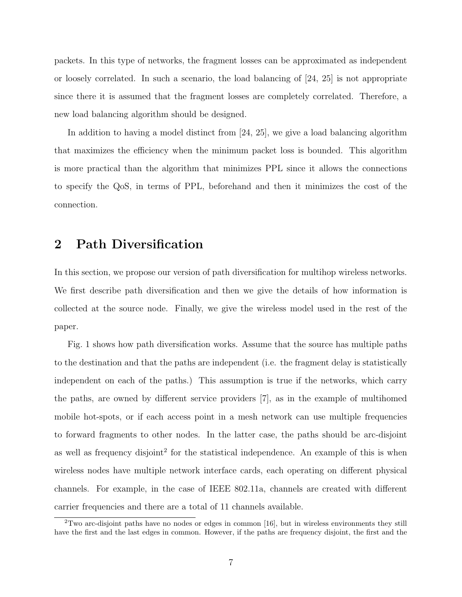packets. In this type of networks, the fragment losses can be approximated as independent or loosely correlated. In such a scenario, the load balancing of [24, 25] is not appropriate since there it is assumed that the fragment losses are completely correlated. Therefore, a new load balancing algorithm should be designed.

In addition to having a model distinct from [24, 25], we give a load balancing algorithm that maximizes the efficiency when the minimum packet loss is bounded. This algorithm is more practical than the algorithm that minimizes PPL since it allows the connections to specify the QoS, in terms of PPL, beforehand and then it minimizes the cost of the connection.

### 2 Path Diversification

In this section, we propose our version of path diversification for multihop wireless networks. We first describe path diversification and then we give the details of how information is collected at the source node. Finally, we give the wireless model used in the rest of the paper.

Fig. 1 shows how path diversification works. Assume that the source has multiple paths to the destination and that the paths are independent (i.e. the fragment delay is statistically independent on each of the paths.) This assumption is true if the networks, which carry the paths, are owned by different service providers [7], as in the example of multihomed mobile hot-spots, or if each access point in a mesh network can use multiple frequencies to forward fragments to other nodes. In the latter case, the paths should be arc-disjoint as well as frequency disjoint<sup>2</sup> for the statistical independence. An example of this is when wireless nodes have multiple network interface cards, each operating on different physical channels. For example, in the case of IEEE 802.11a, channels are created with different carrier frequencies and there are a total of 11 channels available.

<sup>&</sup>lt;sup>2</sup>Two arc-disjoint paths have no nodes or edges in common [16], but in wireless environments they still have the first and the last edges in common. However, if the paths are frequency disjoint, the first and the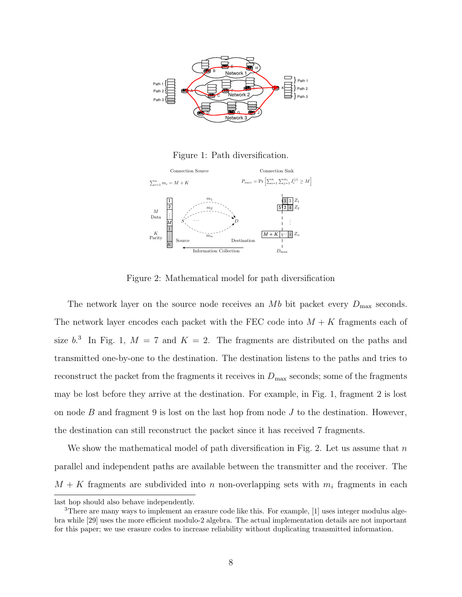

Figure 1: Path diversification.



Figure 2: Mathematical model for path diversification

The network layer on the source node receives an  $Mb$  bit packet every  $D_{\text{max}}$  seconds. The network layer encodes each packet with the FEC code into  $M + K$  fragments each of size  $b<sup>3</sup>$  In Fig. 1,  $M = 7$  and  $K = 2$ . The fragments are distributed on the paths and transmitted one-by-one to the destination. The destination listens to the paths and tries to reconstruct the packet from the fragments it receives in  $D_{\text{max}}$  seconds; some of the fragments may be lost before they arrive at the destination. For example, in Fig. 1, fragment 2 is lost on node  $B$  and fragment 9 is lost on the last hop from node  $J$  to the destination. However, the destination can still reconstruct the packet since it has received 7 fragments.

We show the mathematical model of path diversification in Fig. 2. Let us assume that n parallel and independent paths are available between the transmitter and the receiver. The  $M + K$  fragments are subdivided into n non-overlapping sets with  $m_i$  fragments in each

last hop should also behave independently.

<sup>3</sup>There are many ways to implement an erasure code like this. For example, [1] uses integer modulus algebra while [29] uses the more efficient modulo-2 algebra. The actual implementation details are not important for this paper; we use erasure codes to increase reliability without duplicating transmitted information.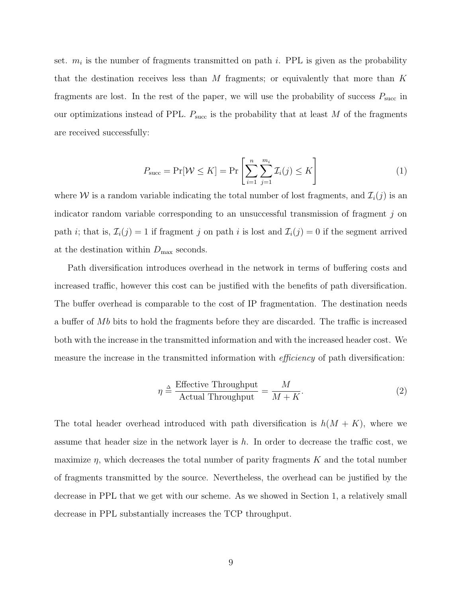set.  $m_i$  is the number of fragments transmitted on path i. PPL is given as the probability that the destination receives less than  $M$  fragments; or equivalently that more than  $K$ fragments are lost. In the rest of the paper, we will use the probability of success  $P_{succ}$  in our optimizations instead of PPL.  $P_{succ}$  is the probability that at least M of the fragments are received successfully:

$$
P_{\text{succ}} = \Pr[\mathcal{W} \le K] = \Pr\left[\sum_{i=1}^{n} \sum_{j=1}^{m_i} \mathcal{I}_i(j) \le K\right]
$$
 (1)

where W is a random variable indicating the total number of lost fragments, and  $\mathcal{I}_i(j)$  is an indicator random variable corresponding to an unsuccessful transmission of fragment  $j$  on path i; that is,  $\mathcal{I}_i(j) = 1$  if fragment j on path i is lost and  $\mathcal{I}_i(j) = 0$  if the segment arrived at the destination within  $D_{\text{max}}$  seconds.

Path diversification introduces overhead in the network in terms of buffering costs and increased traffic, however this cost can be justified with the benefits of path diversification. The buffer overhead is comparable to the cost of IP fragmentation. The destination needs a buffer of Mb bits to hold the fragments before they are discarded. The traffic is increased both with the increase in the transmitted information and with the increased header cost. We measure the increase in the transmitted information with *efficiency* of path diversification:

$$
\eta \triangleq \frac{\text{Effective Throughout}}{\text{Actual Throughput}} = \frac{M}{M + K}.
$$
\n(2)

The total header overhead introduced with path diversification is  $h(M + K)$ , where we assume that header size in the network layer is  $h$ . In order to decrease the traffic cost, we maximize  $\eta$ , which decreases the total number of parity fragments K and the total number of fragments transmitted by the source. Nevertheless, the overhead can be justified by the decrease in PPL that we get with our scheme. As we showed in Section 1, a relatively small decrease in PPL substantially increases the TCP throughput.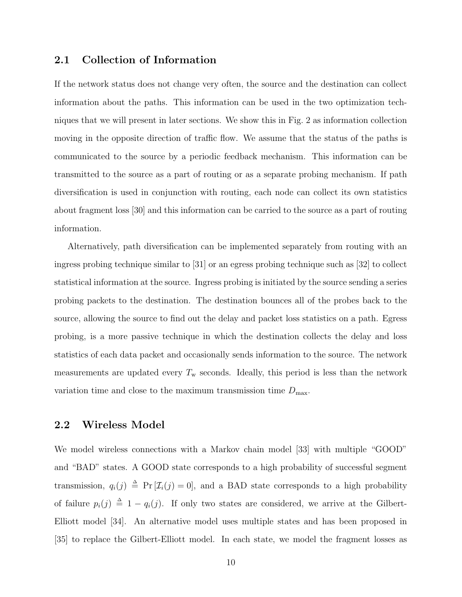### 2.1 Collection of Information

If the network status does not change very often, the source and the destination can collect information about the paths. This information can be used in the two optimization techniques that we will present in later sections. We show this in Fig. 2 as information collection moving in the opposite direction of traffic flow. We assume that the status of the paths is communicated to the source by a periodic feedback mechanism. This information can be transmitted to the source as a part of routing or as a separate probing mechanism. If path diversification is used in conjunction with routing, each node can collect its own statistics about fragment loss [30] and this information can be carried to the source as a part of routing information.

Alternatively, path diversification can be implemented separately from routing with an ingress probing technique similar to [31] or an egress probing technique such as [32] to collect statistical information at the source. Ingress probing is initiated by the source sending a series probing packets to the destination. The destination bounces all of the probes back to the source, allowing the source to find out the delay and packet loss statistics on a path. Egress probing, is a more passive technique in which the destination collects the delay and loss statistics of each data packet and occasionally sends information to the source. The network measurements are updated every  $T_{w}$  seconds. Ideally, this period is less than the network variation time and close to the maximum transmission time  $D_{\text{max}}$ .

#### 2.2 Wireless Model

We model wireless connections with a Markov chain model [33] with multiple "GOOD" and "BAD" states. A GOOD state corresponds to a high probability of successful segment transmission,  $q_i(j) \triangleq \Pr[\mathcal{I}_i(j) = 0]$ , and a BAD state corresponds to a high probability of failure  $p_i(j) \triangleq 1 - q_i(j)$ . If only two states are considered, we arrive at the Gilbert-Elliott model [34]. An alternative model uses multiple states and has been proposed in [35] to replace the Gilbert-Elliott model. In each state, we model the fragment losses as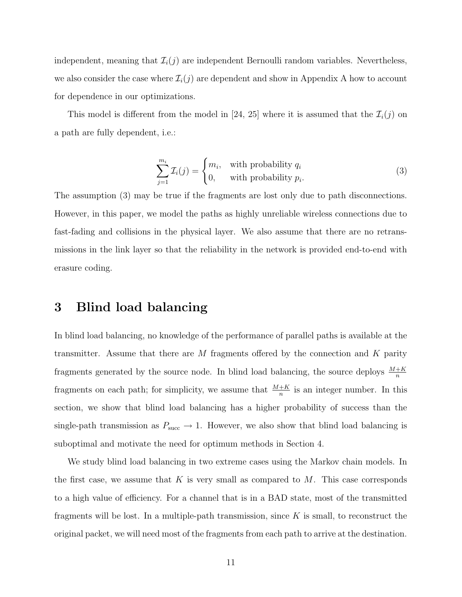independent, meaning that  $\mathcal{I}_i(j)$  are independent Bernoulli random variables. Nevertheless, we also consider the case where  $\mathcal{I}_i(j)$  are dependent and show in Appendix A how to account for dependence in our optimizations.

This model is different from the model in [24, 25] where it is assumed that the  $\mathcal{I}_i(j)$  on a path are fully dependent, i.e.:

$$
\sum_{j=1}^{m_i} \mathcal{I}_i(j) = \begin{cases} m_i, & \text{with probability } q_i \\ 0, & \text{with probability } p_i. \end{cases}
$$
 (3)

The assumption (3) may be true if the fragments are lost only due to path disconnections. However, in this paper, we model the paths as highly unreliable wireless connections due to fast-fading and collisions in the physical layer. We also assume that there are no retransmissions in the link layer so that the reliability in the network is provided end-to-end with erasure coding.

### 3 Blind load balancing

In blind load balancing, no knowledge of the performance of parallel paths is available at the transmitter. Assume that there are  $M$  fragments offered by the connection and  $K$  parity fragments generated by the source node. In blind load balancing, the source deploys  $\frac{M+K}{n}$ fragments on each path; for simplicity, we assume that  $\frac{M+K}{n}$  is an integer number. In this section, we show that blind load balancing has a higher probability of success than the single-path transmission as  $P_{\text{succ}} \to 1$ . However, we also show that blind load balancing is suboptimal and motivate the need for optimum methods in Section 4.

We study blind load balancing in two extreme cases using the Markov chain models. In the first case, we assume that K is very small as compared to  $M$ . This case corresponds to a high value of efficiency. For a channel that is in a BAD state, most of the transmitted fragments will be lost. In a multiple-path transmission, since  $K$  is small, to reconstruct the original packet, we will need most of the fragments from each path to arrive at the destination.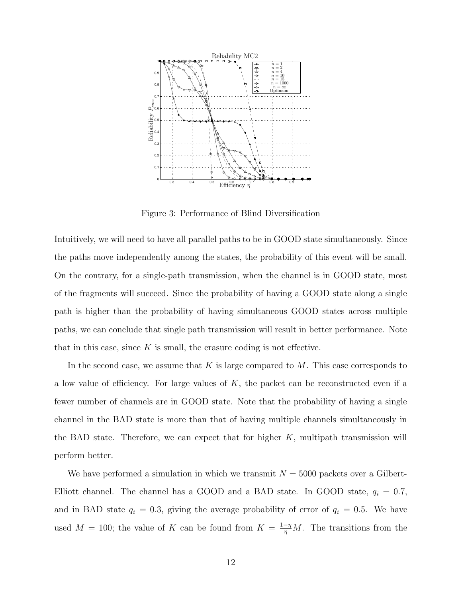

Figure 3: Performance of Blind Diversification

Intuitively, we will need to have all parallel paths to be in GOOD state simultaneously. Since the paths move independently among the states, the probability of this event will be small. On the contrary, for a single-path transmission, when the channel is in GOOD state, most of the fragments will succeed. Since the probability of having a GOOD state along a single path is higher than the probability of having simultaneous GOOD states across multiple paths, we can conclude that single path transmission will result in better performance. Note that in this case, since  $K$  is small, the erasure coding is not effective.

In the second case, we assume that K is large compared to M. This case corresponds to a low value of efficiency. For large values of  $K$ , the packet can be reconstructed even if a fewer number of channels are in GOOD state. Note that the probability of having a single channel in the BAD state is more than that of having multiple channels simultaneously in the BAD state. Therefore, we can expect that for higher  $K$ , multipath transmission will perform better.

We have performed a simulation in which we transmit  $N = 5000$  packets over a Gilbert-Elliott channel. The channel has a GOOD and a BAD state. In GOOD state,  $q_i = 0.7$ , and in BAD state  $q_i = 0.3$ , giving the average probability of error of  $q_i = 0.5$ . We have used  $M = 100$ ; the value of K can be found from  $K = \frac{1-\eta}{n}$  $\frac{-\eta}{\eta}M$ . The transitions from the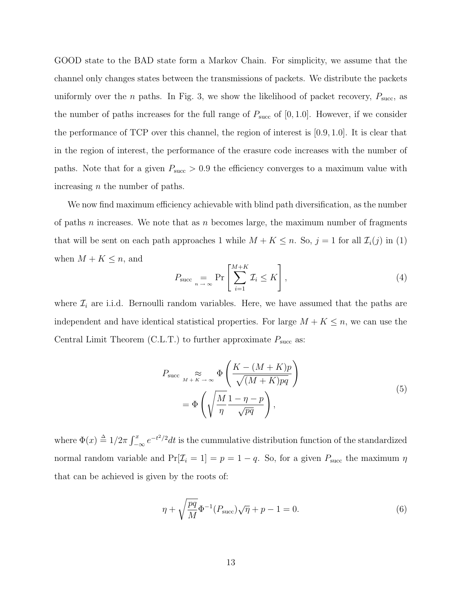GOOD state to the BAD state form a Markov Chain. For simplicity, we assume that the channel only changes states between the transmissions of packets. We distribute the packets uniformly over the *n* paths. In Fig. 3, we show the likelihood of packet recovery,  $P_{succ}$ , as the number of paths increases for the full range of  $P_{succ}$  of [0, 1.0]. However, if we consider the performance of TCP over this channel, the region of interest is [0.9, 1.0]. It is clear that in the region of interest, the performance of the erasure code increases with the number of paths. Note that for a given  $P_{succ} > 0.9$  the efficiency converges to a maximum value with increasing n the number of paths.

We now find maximum efficiency achievable with blind path diversification, as the number of paths n increases. We note that as n becomes large, the maximum number of fragments that will be sent on each path approaches 1 while  $M + K \leq n$ . So,  $j = 1$  for all  $\mathcal{I}_i(j)$  in (1) when  $M + K \leq n$ , and

$$
P_{\text{succ}} = \Pr\left[\sum_{i=1}^{M+K} \mathcal{I}_i \le K\right],\tag{4}
$$

where  $\mathcal{I}_i$  are i.i.d. Bernoulli random variables. Here, we have assumed that the paths are independent and have identical statistical properties. For large  $M + K \leq n$ , we can use the Central Limit Theorem (C.L.T.) to further approximate  $P_{succ}$  as:

$$
P_{\text{succ}} \underset{M + K \to \infty}{\approx} \Phi\left(\frac{K - (M + K)p}{\sqrt{(M + K)pq}}\right)
$$
  
=  $\Phi\left(\sqrt{\frac{M}{\eta}} \frac{1 - \eta - p}{\sqrt{pq}}\right),$  (5)

where  $\Phi(x) \triangleq 1/2\pi \int_{-\infty}^{x} e^{-t^2/2} dt$  is the cummulative distribution function of the standardized normal random variable and  $Pr[\mathcal{I}_i = 1] = p = 1 - q$ . So, for a given  $P_{succ}$  the maximum  $\eta$ that can be achieved is given by the roots of:

$$
\eta + \sqrt{\frac{pq}{M}} \Phi^{-1}(P_{\text{succ}})\sqrt{\eta} + p - 1 = 0. \tag{6}
$$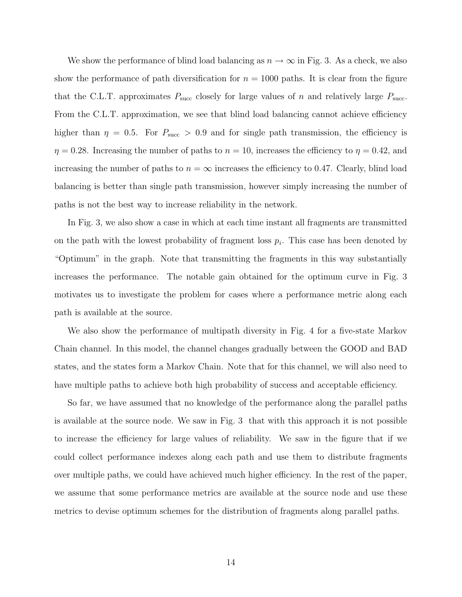We show the performance of blind load balancing as  $n \to \infty$  in Fig. 3. As a check, we also show the performance of path diversification for  $n = 1000$  paths. It is clear from the figure that the C.L.T. approximates  $P_{\text{succ}}$  closely for large values of n and relatively large  $P_{\text{succ}}$ . From the C.L.T. approximation, we see that blind load balancing cannot achieve efficiency higher than  $\eta = 0.5$ . For  $P_{succ} > 0.9$  and for single path transmission, the efficiency is  $\eta = 0.28$ . Increasing the number of paths to  $n = 10$ , increases the efficiency to  $\eta = 0.42$ , and increasing the number of paths to  $n = \infty$  increases the efficiency to 0.47. Clearly, blind load balancing is better than single path transmission, however simply increasing the number of paths is not the best way to increase reliability in the network.

In Fig. 3, we also show a case in which at each time instant all fragments are transmitted on the path with the lowest probability of fragment loss  $p_i$ . This case has been denoted by "Optimum" in the graph. Note that transmitting the fragments in this way substantially increases the performance. The notable gain obtained for the optimum curve in Fig. 3 motivates us to investigate the problem for cases where a performance metric along each path is available at the source.

We also show the performance of multipath diversity in Fig. 4 for a five-state Markov Chain channel. In this model, the channel changes gradually between the GOOD and BAD states, and the states form a Markov Chain. Note that for this channel, we will also need to have multiple paths to achieve both high probability of success and acceptable efficiency.

So far, we have assumed that no knowledge of the performance along the parallel paths is available at the source node. We saw in Fig. 3 that with this approach it is not possible to increase the efficiency for large values of reliability. We saw in the figure that if we could collect performance indexes along each path and use them to distribute fragments over multiple paths, we could have achieved much higher efficiency. In the rest of the paper, we assume that some performance metrics are available at the source node and use these metrics to devise optimum schemes for the distribution of fragments along parallel paths.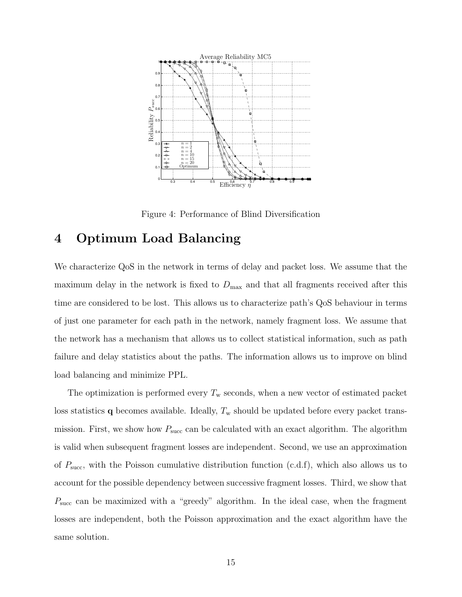

Figure 4: Performance of Blind Diversification

## 4 Optimum Load Balancing

We characterize QoS in the network in terms of delay and packet loss. We assume that the maximum delay in the network is fixed to  $D_{\text{max}}$  and that all fragments received after this time are considered to be lost. This allows us to characterize path's QoS behaviour in terms of just one parameter for each path in the network, namely fragment loss. We assume that the network has a mechanism that allows us to collect statistical information, such as path failure and delay statistics about the paths. The information allows us to improve on blind load balancing and minimize PPL.

The optimization is performed every  $T_{w}$  seconds, when a new vector of estimated packet loss statistics q becomes available. Ideally,  $T_{w}$  should be updated before every packet transmission. First, we show how  $P_{succ}$  can be calculated with an exact algorithm. The algorithm is valid when subsequent fragment losses are independent. Second, we use an approximation of  $P_{\text{succ}}$ , with the Poisson cumulative distribution function (c.d.f), which also allows us to account for the possible dependency between successive fragment losses. Third, we show that  $P_{\text{succ}}$  can be maximized with a "greedy" algorithm. In the ideal case, when the fragment losses are independent, both the Poisson approximation and the exact algorithm have the same solution.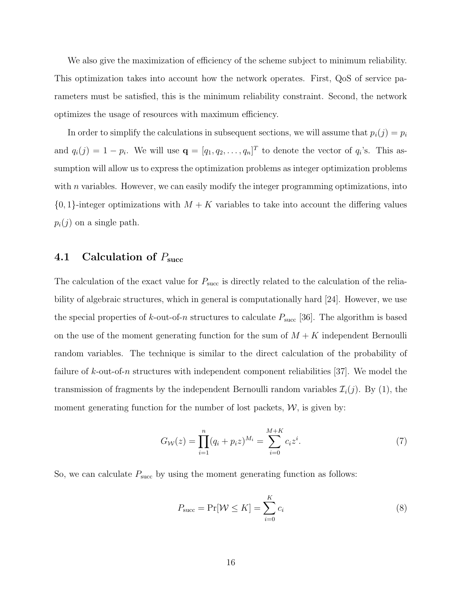We also give the maximization of efficiency of the scheme subject to minimum reliability. This optimization takes into account how the network operates. First, QoS of service parameters must be satisfied, this is the minimum reliability constraint. Second, the network optimizes the usage of resources with maximum efficiency.

In order to simplify the calculations in subsequent sections, we will assume that  $p_i(j) = p_i$ and  $q_i(j) = 1 - p_i$ . We will use  $\mathbf{q} = [q_1, q_2, \dots, q_n]^T$  to denote the vector of  $q_i$ 's. This assumption will allow us to express the optimization problems as integer optimization problems with  $n$  variables. However, we can easily modify the integer programming optimizations, into  ${0, 1}$ -integer optimizations with  $M + K$  variables to take into account the differing values  $p_i(j)$  on a single path.

### 4.1 Calculation of  $P_{\text{succ}}$

The calculation of the exact value for  $P_{succ}$  is directly related to the calculation of the reliability of algebraic structures, which in general is computationally hard [24]. However, we use the special properties of k-out-of-n structures to calculate  $P_{succ}$  [36]. The algorithm is based on the use of the moment generating function for the sum of  $M + K$  independent Bernoulli random variables. The technique is similar to the direct calculation of the probability of failure of k-out-of-n structures with independent component reliabilities [37]. We model the transmission of fragments by the independent Bernoulli random variables  $\mathcal{I}_i(j)$ . By (1), the moment generating function for the number of lost packets,  $W$ , is given by:

$$
G_W(z) = \prod_{i=1}^n (q_i + p_i z)^{M_i} = \sum_{i=0}^{M+K} c_i z^i.
$$
 (7)

So, we can calculate  $P_{succ}$  by using the moment generating function as follows:

$$
P_{\text{succ}} = \Pr[\mathcal{W} \le K] = \sum_{i=0}^{K} c_i \tag{8}
$$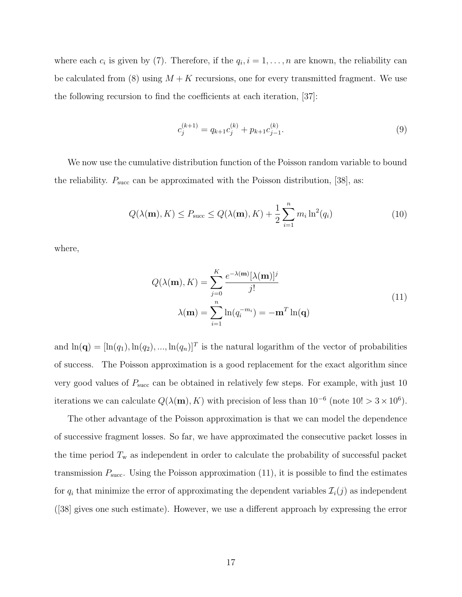where each  $c_i$  is given by (7). Therefore, if the  $q_i$ ,  $i = 1, \ldots, n$  are known, the reliability can be calculated from (8) using  $M + K$  recursions, one for every transmitted fragment. We use the following recursion to find the coefficients at each iteration, [37]:

$$
c_j^{(k+1)} = q_{k+1}c_j^{(k)} + p_{k+1}c_{j-1}^{(k)}.
$$
\n(9)

We now use the cumulative distribution function of the Poisson random variable to bound the reliability.  $P_{succ}$  can be approximated with the Poisson distribution, [38], as:

$$
Q(\lambda(\mathbf{m}), K) \le P_{\text{succ}} \le Q(\lambda(\mathbf{m}), K) + \frac{1}{2} \sum_{i=1}^{n} m_i \ln^2(q_i)
$$
 (10)

where,

$$
Q(\lambda(\mathbf{m}), K) = \sum_{j=0}^{K} \frac{e^{-\lambda(\mathbf{m})} [\lambda(\mathbf{m})]^j}{j!}
$$

$$
\lambda(\mathbf{m}) = \sum_{i=1}^{n} \ln(q_i^{-m_i}) = -\mathbf{m}^T \ln(\mathbf{q})
$$
(11)

and  $\ln(\mathbf{q}) = [\ln(q_1), \ln(q_2), ..., \ln(q_n)]^T$  is the natural logarithm of the vector of probabilities of success. The Poisson approximation is a good replacement for the exact algorithm since very good values of  $P_{succ}$  can be obtained in relatively few steps. For example, with just 10 iterations we can calculate  $Q(\lambda(\mathbf{m}), K)$  with precision of less than  $10^{-6}$  (note  $10! > 3 \times 10^6$ ).

The other advantage of the Poisson approximation is that we can model the dependence of successive fragment losses. So far, we have approximated the consecutive packet losses in the time period  $T_w$  as independent in order to calculate the probability of successful packet transmission  $P_{succ}$ . Using the Poisson approximation (11), it is possible to find the estimates for  $q_i$  that minimize the error of approximating the dependent variables  $\mathcal{I}_i(j)$  as independent ([38] gives one such estimate). However, we use a different approach by expressing the error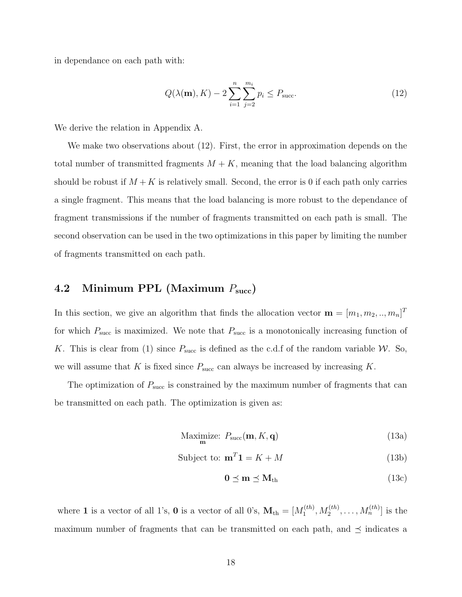in dependance on each path with:

$$
Q(\lambda(\mathbf{m}), K) - 2\sum_{i=1}^{n} \sum_{j=2}^{m_i} p_i \le P_{\text{succ}}.\tag{12}
$$

We derive the relation in Appendix A.

We make two observations about (12). First, the error in approximation depends on the total number of transmitted fragments  $M + K$ , meaning that the load balancing algorithm should be robust if  $M + K$  is relatively small. Second, the error is 0 if each path only carries a single fragment. This means that the load balancing is more robust to the dependance of fragment transmissions if the number of fragments transmitted on each path is small. The second observation can be used in the two optimizations in this paper by limiting the number of fragments transmitted on each path.

# 4.2 Minimum PPL (Maximum  $P_{succ}$ )

In this section, we give an algorithm that finds the allocation vector  $\mathbf{m} = [m_1, m_2, ..., m_n]^T$ for which  $P_{succ}$  is maximized. We note that  $P_{succ}$  is a monotonically increasing function of K. This is clear from (1) since  $P_{succ}$  is defined as the c.d.f of the random variable W. So, we will assume that K is fixed since  $P_{succ}$  can always be increased by increasing K.

The optimization of  $P_{succ}$  is constrained by the maximum number of fragments that can be transmitted on each path. The optimization is given as:

$$
\underset{\mathbf{m}}{\text{Maximize:}}\ P_{\text{succ}}(\mathbf{m}, K, \mathbf{q})\tag{13a}
$$

$$
Subject to: \mathbf{m}^T \mathbf{1} = K + M \tag{13b}
$$

$$
0 \le m \le M_{\rm th} \tag{13c}
$$

where 1 is a vector of all 1's, 0 is a vector of all 0's,  $\mathbf{M}_{\text{th}} = [M_1^{(th)}]$  $\lambda_1^{(th)}, M_2^{(th)}$  $\mathcal{M}_2^{(th)}, \ldots, \mathcal{M}_n^{(th)}]$  is the maximum number of fragments that can be transmitted on each path, and  $\preceq$  indicates a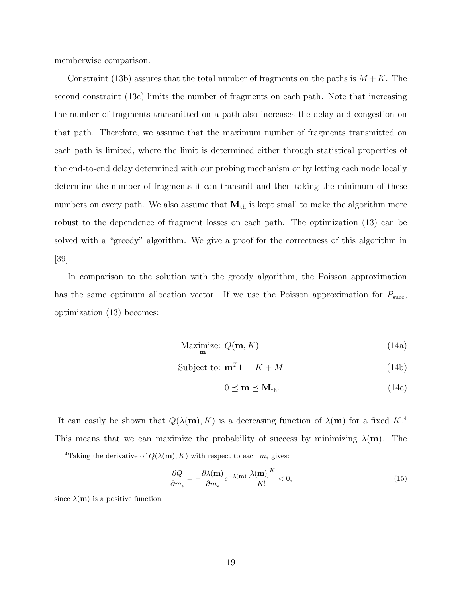memberwise comparison.

Constraint (13b) assures that the total number of fragments on the paths is  $M + K$ . The second constraint (13c) limits the number of fragments on each path. Note that increasing the number of fragments transmitted on a path also increases the delay and congestion on that path. Therefore, we assume that the maximum number of fragments transmitted on each path is limited, where the limit is determined either through statistical properties of the end-to-end delay determined with our probing mechanism or by letting each node locally determine the number of fragments it can transmit and then taking the minimum of these numbers on every path. We also assume that  $M_{th}$  is kept small to make the algorithm more robust to the dependence of fragment losses on each path. The optimization (13) can be solved with a "greedy" algorithm. We give a proof for the correctness of this algorithm in [39].

In comparison to the solution with the greedy algorithm, the Poisson approximation has the same optimum allocation vector. If we use the Poisson approximation for  $P_{succ}$ , optimization (13) becomes:

$$
\underset{\mathbf{m}}{\text{Maximize: }} Q(\mathbf{m}, K) \tag{14a}
$$

Subject to:  $\mathbf{m}^T \mathbf{1} = K + M$  (14b)

$$
0 \le m \le M_{\rm th}.\tag{14c}
$$

It can easily be shown that  $Q(\lambda(\mathbf{m}), K)$  is a decreasing function of  $\lambda(\mathbf{m})$  for a fixed K.<sup>4</sup> This means that we can maximize the probability of success by minimizing  $\lambda(m)$ . The

$$
\frac{\partial Q}{\partial m_i} = -\frac{\partial \lambda(\mathbf{m})}{\partial m_i} e^{-\lambda(\mathbf{m})} \frac{\left[\lambda(\mathbf{m})\right]^K}{K!} < 0,\tag{15}
$$

since  $\lambda(\mathbf{m})$  is a positive function.

<sup>&</sup>lt;sup>4</sup>Taking the derivative of  $Q(\lambda(\mathbf{m}), K)$  with respect to each  $m_i$  gives: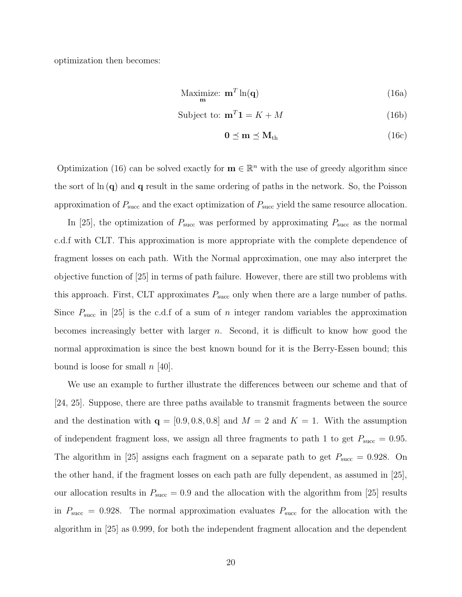optimization then becomes:

$$
\underset{\mathbf{m}}{\text{Maximize: }} \mathbf{m}^T \ln(\mathbf{q}) \tag{16a}
$$

$$
Subject to: \mathbf{m}^T \mathbf{1} = K + M \tag{16b}
$$

$$
0 \le m \le M_{\rm th} \tag{16c}
$$

Optimization (16) can be solved exactly for  $\mathbf{m} \in \mathbb{R}^n$  with the use of greedy algorithm since the sort of  $\ln(q)$  and q result in the same ordering of paths in the network. So, the Poisson approximation of  $P_{\text{succ}}$  and the exact optimization of  $P_{\text{succ}}$  yield the same resource allocation.

In [25], the optimization of  $P_{succ}$  was performed by approximating  $P_{succ}$  as the normal c.d.f with CLT. This approximation is more appropriate with the complete dependence of fragment losses on each path. With the Normal approximation, one may also interpret the objective function of [25] in terms of path failure. However, there are still two problems with this approach. First, CLT approximates  $P_{succ}$  only when there are a large number of paths. Since  $P_{\text{succ}}$  in [25] is the c.d.f of a sum of n integer random variables the approximation becomes increasingly better with larger  $n$ . Second, it is difficult to know how good the normal approximation is since the best known bound for it is the Berry-Essen bound; this bound is loose for small  $n \, |40|$ .

We use an example to further illustrate the differences between our scheme and that of [24, 25]. Suppose, there are three paths available to transmit fragments between the source and the destination with  $q = [0.9, 0.8, 0.8]$  and  $M = 2$  and  $K = 1$ . With the assumption of independent fragment loss, we assign all three fragments to path 1 to get  $P_{succ} = 0.95$ . The algorithm in [25] assigns each fragment on a separate path to get  $P_{succ} = 0.928$ . On the other hand, if the fragment losses on each path are fully dependent, as assumed in [25], our allocation results in  $P_{\text{succ}} = 0.9$  and the allocation with the algorithm from [25] results in  $P_{succ} = 0.928$ . The normal approximation evaluates  $P_{succ}$  for the allocation with the algorithm in [25] as 0.999, for both the independent fragment allocation and the dependent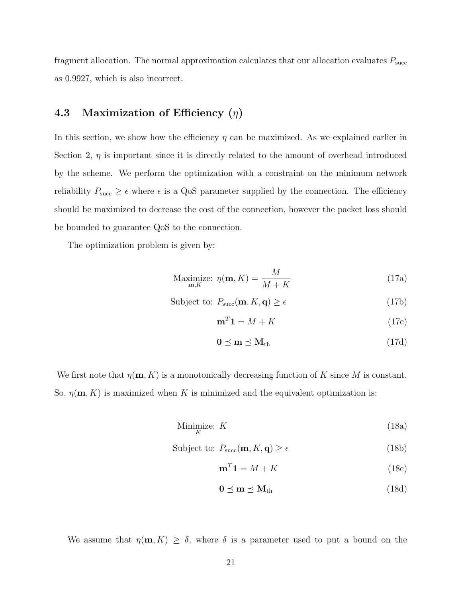fragment allocation. The normal approximation calculates that our allocation evaluates  $P_{\rm succ}$ as 0.9927, which is also incorrect.

# 4.3 Maximization of Efficiency  $(\eta)$

In this section, we show how the efficiency  $\eta$  can be maximized. As we explained earlier in Section 2,  $\eta$  is important since it is directly related to the amount of overhead introduced by the scheme. We perform the optimization with a constraint on the minimum network reliability  $P_{succ} \geq \epsilon$  where  $\epsilon$  is a QoS parameter supplied by the connection. The efficiency should be maximized to decrease the cost of the connection, however the packet loss should be bounded to guarantee QoS to the connection.

The optimization problem is given by:

$$
\underset{\mathbf{m},K}{\text{Maximize: }} \eta(\mathbf{m},K) = \frac{M}{M+K} \tag{17a}
$$

$$
Subject to: Psucc(m, K, q) \ge \epsilon
$$
\n(17b)

$$
\mathbf{m}^T \mathbf{1} = M + K \tag{17c}
$$

$$
0 \le m \le M_{\rm th} \tag{17d}
$$

We first note that  $\eta(\mathbf{m}, K)$  is a monotonically decreasing function of K since M is constant. So,  $\eta(\mathbf{m}, K)$  is maximized when K is minimized and the equivalent optimization is:

$$
\underset{K}{\text{Minimize:}} K \tag{18a}
$$

$$
Subject to: Psucc(\mathbf{m}, K, \mathbf{q}) \ge \epsilon
$$
\n(18b)

$$
\mathbf{m}^T \mathbf{1} = M + K \tag{18c}
$$

$$
0 \le m \le M_{\rm th} \tag{18d}
$$

We assume that  $\eta(\mathbf{m}, K) \geq \delta$ , where  $\delta$  is a parameter used to put a bound on the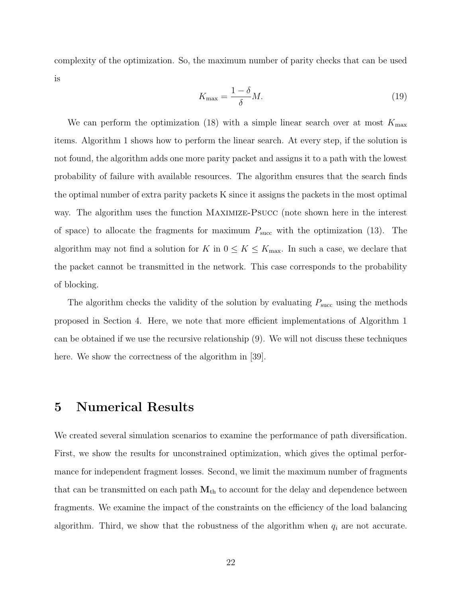complexity of the optimization. So, the maximum number of parity checks that can be used is

$$
K_{\text{max}} = \frac{1 - \delta}{\delta} M. \tag{19}
$$

We can perform the optimization (18) with a simple linear search over at most  $K_{\text{max}}$ items. Algorithm 1 shows how to perform the linear search. At every step, if the solution is not found, the algorithm adds one more parity packet and assigns it to a path with the lowest probability of failure with available resources. The algorithm ensures that the search finds the optimal number of extra parity packets K since it assigns the packets in the most optimal way. The algorithm uses the function Maximize-Psucc (note shown here in the interest of space) to allocate the fragments for maximum  $P_{succ}$  with the optimization (13). The algorithm may not find a solution for K in  $0 \leq K \leq K_{\text{max}}$ . In such a case, we declare that the packet cannot be transmitted in the network. This case corresponds to the probability of blocking.

The algorithm checks the validity of the solution by evaluating  $P_{succ}$  using the methods proposed in Section 4. Here, we note that more efficient implementations of Algorithm 1 can be obtained if we use the recursive relationship (9). We will not discuss these techniques here. We show the correctness of the algorithm in [39].

## 5 Numerical Results

We created several simulation scenarios to examine the performance of path diversification. First, we show the results for unconstrained optimization, which gives the optimal performance for independent fragment losses. Second, we limit the maximum number of fragments that can be transmitted on each path  $M_{th}$  to account for the delay and dependence between fragments. We examine the impact of the constraints on the efficiency of the load balancing algorithm. Third, we show that the robustness of the algorithm when  $q_i$  are not accurate.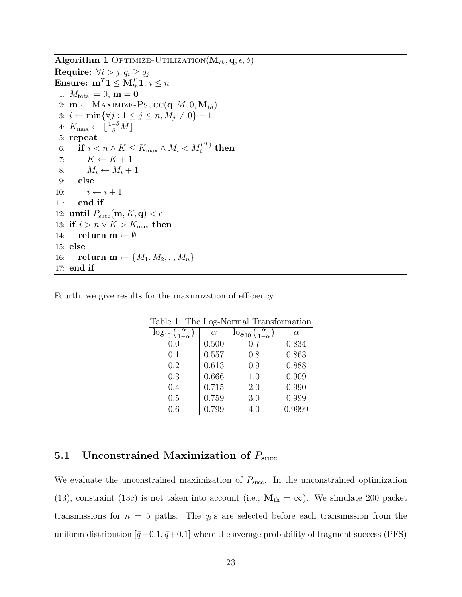Algorithm 1 OPTIMIZE-UTILIZATION $(\mathbf{M}_{th}, \mathbf{q}, \epsilon, \delta)$ 

Require:  $\forall i > j, q_i \geq q_j$ Ensure:  $m^T 1 \leq M_{th}^T 1, i \leq n$ 1:  $M_{\text{total}} = 0, m = 0$ 2:  $\mathbf{m} \leftarrow \text{MAXIMIZE-Psucc}(\mathbf{q}, M, 0, \mathbf{M}_{th})$ 3:  $i \leftarrow \min\{\forall j : 1 \le j \le n, M_j \ne 0\} - 1$ 4:  $K_{\text{max}} \leftarrow \left[ \frac{1-\delta}{\delta} M \right]$ 5: repeat 6: **if**  $i < n \wedge K \leq K_{\text{max}} \wedge M_i < M_i^{(th)}$  $i^{(in)}$  then 7:  $K \leftarrow K + 1$ 8:  $M_i \leftarrow M_i + 1$ <br>9: **else** else 10:  $i \leftarrow i + 1$ <br>11: **end if** end if 12: until  $P_{succ}(m, K, q) < \epsilon$ 13: if  $i > n \vee K > K_{\text{max}}$  then<br>14: **return** m ←  $\emptyset$ return m  $\leftarrow \emptyset$ 15: else 16: **return m**  $\leftarrow \{M_1, M_2, ..., M_n\}$ 17: end if

Fourth, we give results for the maximization of efficiency.

|            | ~        |             |          |
|------------|----------|-------------|----------|
| $log_{10}$ | $\alpha$ | $\log_{10}$ | $\alpha$ |
| 0.0        | 0.500    | 0.7         | 0.834    |
| 0.1        | 0.557    | 0.8         | 0.863    |
| 0.2        | 0.613    | 0.9         | 0.888    |
| 0.3        | 0.666    | 1.0         | 0.909    |
| 0.4        | 0.715    | 2.0         | 0.990    |
| 0.5        | 0.759    | 3.0         | 0.999    |
| 0.6        | 0.799    | 4.0         | 0.9999   |
|            |          |             |          |

Table 1: The Log-Normal Transformation

### 5.1 Unconstrained Maximization of  $P_{succ}$

We evaluate the unconstrained maximization of  $P_{succ}$ . In the unconstrained optimization (13), constraint (13c) is not taken into account (i.e.,  $\mathbf{M}_{th} = \infty$ ). We simulate 200 packet transmissions for  $n = 5$  paths. The  $q_i$ 's are selected before each transmission from the uniform distribution  $[\bar{q}-0.1, \bar{q}+0.1]$  where the average probability of fragment success (PFS)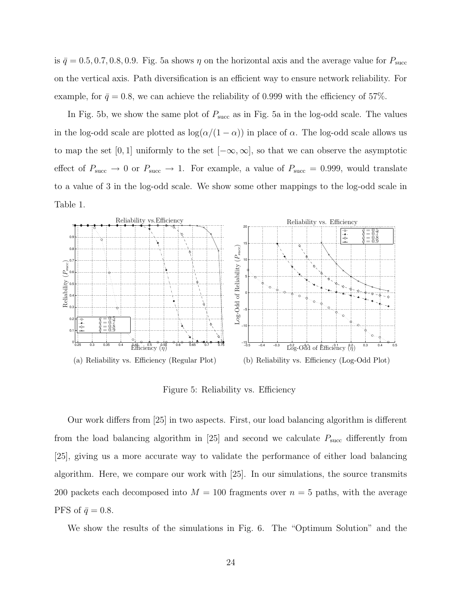is  $\bar{q} = 0.5, 0.7, 0.8, 0.9$ . Fig. 5a shows  $\eta$  on the horizontal axis and the average value for  $P_{\text{succ}}$ on the vertical axis. Path diversification is an efficient way to ensure network reliability. For example, for  $\bar{q} = 0.8$ , we can achieve the reliability of 0.999 with the efficiency of 57%.

In Fig. 5b, we show the same plot of  $P_{succ}$  as in Fig. 5a in the log-odd scale. The values in the log-odd scale are plotted as  $\log(\alpha/(1-\alpha))$  in place of  $\alpha$ . The log-odd scale allows us to map the set [0, 1] uniformly to the set  $[-\infty, \infty]$ , so that we can observe the asymptotic effect of  $P_{\text{succ}} \to 0$  or  $P_{\text{succ}} \to 1$ . For example, a value of  $P_{\text{succ}} = 0.999$ , would translate to a value of 3 in the log-odd scale. We show some other mappings to the log-odd scale in Table 1.



Figure 5: Reliability vs. Efficiency

Our work differs from [25] in two aspects. First, our load balancing algorithm is different from the load balancing algorithm in  $[25]$  and second we calculate  $P_{succ}$  differently from [25], giving us a more accurate way to validate the performance of either load balancing algorithm. Here, we compare our work with [25]. In our simulations, the source transmits 200 packets each decomposed into  $M = 100$  fragments over  $n = 5$  paths, with the average PFS of  $\bar{q} = 0.8$ .

We show the results of the simulations in Fig. 6. The "Optimum Solution" and the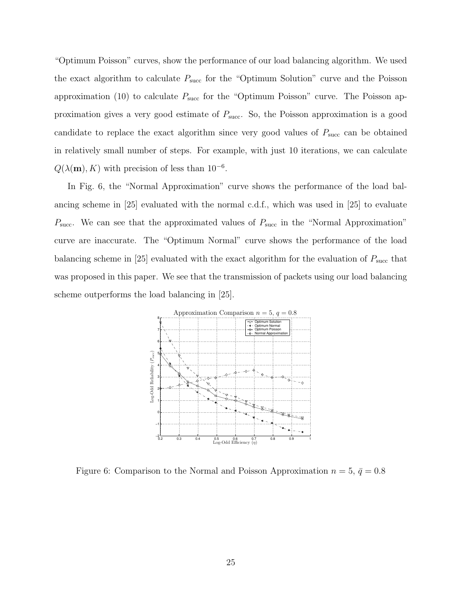"Optimum Poisson" curves, show the performance of our load balancing algorithm. We used the exact algorithm to calculate  $P_{succ}$  for the "Optimum Solution" curve and the Poisson approximation (10) to calculate  $P_{succ}$  for the "Optimum Poisson" curve. The Poisson approximation gives a very good estimate of  $P_{succ}$ . So, the Poisson approximation is a good candidate to replace the exact algorithm since very good values of  $P_{succ}$  can be obtained in relatively small number of steps. For example, with just 10 iterations, we can calculate  $Q(\lambda(\mathbf{m}), K)$  with precision of less than 10<sup>-6</sup>.

In Fig. 6, the "Normal Approximation" curve shows the performance of the load balancing scheme in [25] evaluated with the normal c.d.f., which was used in [25] to evaluate  $P_{succ}$ . We can see that the approximated values of  $P_{succ}$  in the "Normal Approximation" curve are inaccurate. The "Optimum Normal" curve shows the performance of the load balancing scheme in [25] evaluated with the exact algorithm for the evaluation of  $P_{succ}$  that was proposed in this paper. We see that the transmission of packets using our load balancing scheme outperforms the load balancing in [25].



Figure 6: Comparison to the Normal and Poisson Approximation  $n = 5$ ,  $\bar{q} = 0.8$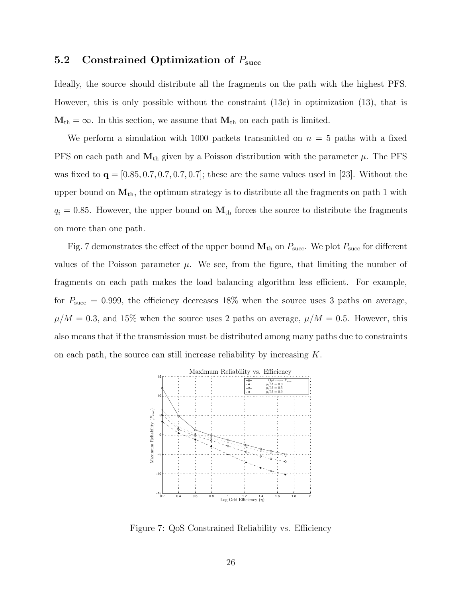### 5.2 Constrained Optimization of  $P_{succ}$

Ideally, the source should distribute all the fragments on the path with the highest PFS. However, this is only possible without the constraint (13c) in optimization (13), that is  $M_{th} = \infty$ . In this section, we assume that  $M_{th}$  on each path is limited.

We perform a simulation with 1000 packets transmitted on  $n = 5$  paths with a fixed PFS on each path and  $M_{th}$  given by a Poisson distribution with the parameter  $\mu$ . The PFS was fixed to  $\mathbf{q} = [0.85, 0.7, 0.7, 0.7, 0.7]$ ; these are the same values used in [23]. Without the upper bound on  $M_{th}$ , the optimum strategy is to distribute all the fragments on path 1 with  $q_i = 0.85$ . However, the upper bound on  $M_{th}$  forces the source to distribute the fragments on more than one path.

Fig. 7 demonstrates the effect of the upper bound  $\mathbf{M}_{\text{th}}$  on  $P_{\text{succ}}$ . We plot  $P_{\text{succ}}$  for different values of the Poisson parameter  $\mu$ . We see, from the figure, that limiting the number of fragments on each path makes the load balancing algorithm less efficient. For example, for  $P_{\text{succ}} = 0.999$ , the efficiency decreases 18% when the source uses 3 paths on average,  $\mu/M = 0.3$ , and 15% when the source uses 2 paths on average,  $\mu/M = 0.5$ . However, this also means that if the transmission must be distributed among many paths due to constraints on each path, the source can still increase reliability by increasing  $K$ .



Figure 7: QoS Constrained Reliability vs. Efficiency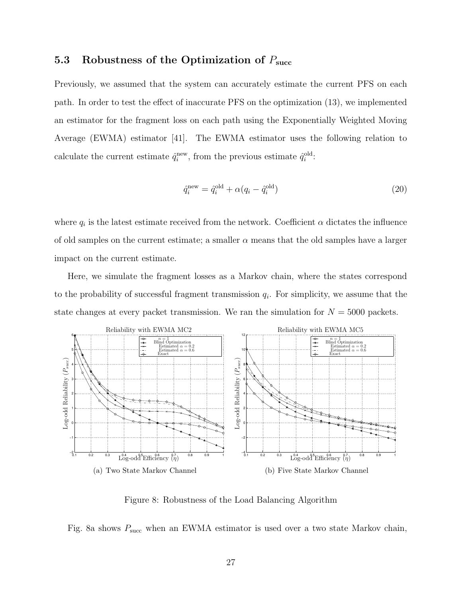### 5.3 Robustness of the Optimization of  $P_{succ}$

Previously, we assumed that the system can accurately estimate the current PFS on each path. In order to test the effect of inaccurate PFS on the optimization (13), we implemented an estimator for the fragment loss on each path using the Exponentially Weighted Moving Average (EWMA) estimator [41]. The EWMA estimator uses the following relation to calculate the current estimate  $\hat{q}_i^{\text{new}}$ , from the previous estimate  $\hat{q}_i^{\text{old}}$ :

$$
\hat{q}_i^{\text{new}} = \hat{q}_i^{\text{old}} + \alpha (q_i - \hat{q}_i^{\text{old}})
$$
\n(20)

where  $q_i$  is the latest estimate received from the network. Coefficient  $\alpha$  dictates the influence of old samples on the current estimate; a smaller  $\alpha$  means that the old samples have a larger impact on the current estimate.

Here, we simulate the fragment losses as a Markov chain, where the states correspond to the probability of successful fragment transmission  $q_i$ . For simplicity, we assume that the state changes at every packet transmission. We ran the simulation for  $N = 5000$  packets.



Figure 8: Robustness of the Load Balancing Algorithm

Fig. 8a shows  $P_{\text{succ}}$  when an EWMA estimator is used over a two state Markov chain,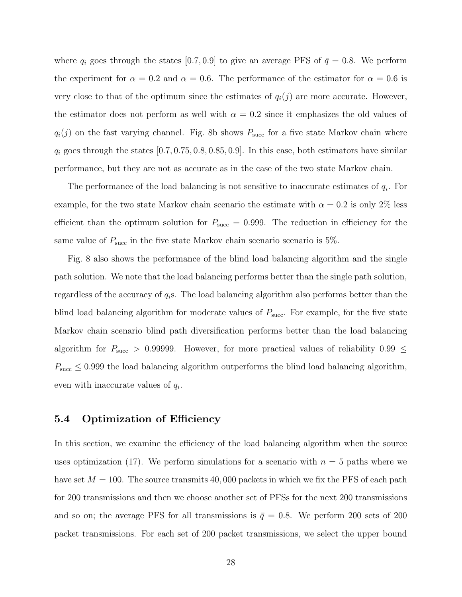where  $q_i$  goes through the states [0.7, 0.9] to give an average PFS of  $\bar{q}=0.8$ . We perform the experiment for  $\alpha = 0.2$  and  $\alpha = 0.6$ . The performance of the estimator for  $\alpha = 0.6$  is very close to that of the optimum since the estimates of  $q_i(j)$  are more accurate. However, the estimator does not perform as well with  $\alpha = 0.2$  since it emphasizes the old values of  $q_i(j)$  on the fast varying channel. Fig. 8b shows  $P_{succ}$  for a five state Markov chain where  $q_i$  goes through the states [0.7, 0.75, 0.8, 0.85, 0.9]. In this case, both estimators have similar performance, but they are not as accurate as in the case of the two state Markov chain.

The performance of the load balancing is not sensitive to inaccurate estimates of  $q_i$ . For example, for the two state Markov chain scenario the estimate with  $\alpha = 0.2$  is only 2% less efficient than the optimum solution for  $P_{succ} = 0.999$ . The reduction in efficiency for the same value of  $P_{\text{succ}}$  in the five state Markov chain scenario scenario is 5%.

Fig. 8 also shows the performance of the blind load balancing algorithm and the single path solution. We note that the load balancing performs better than the single path solution, regardless of the accuracy of  $q_i$ s. The load balancing algorithm also performs better than the blind load balancing algorithm for moderate values of  $P_{succ}$ . For example, for the five state Markov chain scenario blind path diversification performs better than the load balancing algorithm for  $P_{\text{succ}} > 0.99999$ . However, for more practical values of reliability  $0.99 \le$  $P_{\text{succ}} \leq 0.999$  the load balancing algorithm outperforms the blind load balancing algorithm, even with inaccurate values of  $q_i$ .

### 5.4 Optimization of Efficiency

In this section, we examine the efficiency of the load balancing algorithm when the source uses optimization (17). We perform simulations for a scenario with  $n = 5$  paths where we have set  $M = 100$ . The source transmits 40,000 packets in which we fix the PFS of each path for 200 transmissions and then we choose another set of PFSs for the next 200 transmissions and so on; the average PFS for all transmissions is  $\bar{q} = 0.8$ . We perform 200 sets of 200 packet transmissions. For each set of 200 packet transmissions, we select the upper bound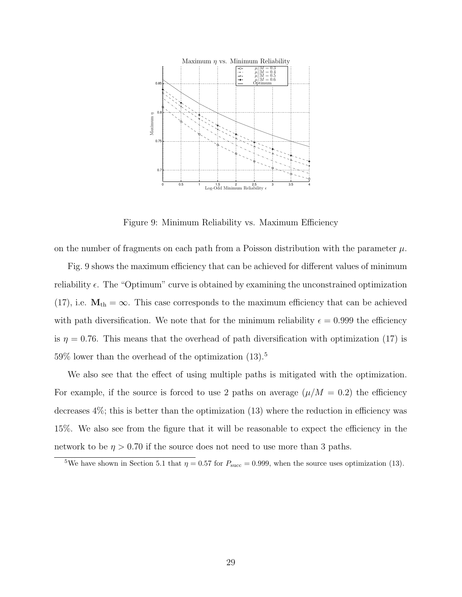

Figure 9: Minimum Reliability vs. Maximum Efficiency

on the number of fragments on each path from a Poisson distribution with the parameter  $\mu$ .

Fig. 9 shows the maximum efficiency that can be achieved for different values of minimum reliability  $\epsilon$ . The "Optimum" curve is obtained by examining the unconstrained optimization (17), i.e.  $M_{th} = \infty$ . This case corresponds to the maximum efficiency that can be achieved with path diversification. We note that for the minimum reliability  $\epsilon = 0.999$  the efficiency is  $\eta = 0.76$ . This means that the overhead of path diversification with optimization (17) is  $59\%$  lower than the overhead of the optimization  $(13).5$ 

We also see that the effect of using multiple paths is mitigated with the optimization. For example, if the source is forced to use 2 paths on average  $(\mu/M = 0.2)$  the efficiency decreases 4%; this is better than the optimization (13) where the reduction in efficiency was 15%. We also see from the figure that it will be reasonable to expect the efficiency in the network to be  $\eta > 0.70$  if the source does not need to use more than 3 paths.

<sup>&</sup>lt;sup>5</sup>We have shown in Section 5.1 that  $\eta = 0.57$  for  $P_{succ} = 0.999$ , when the source uses optimization (13).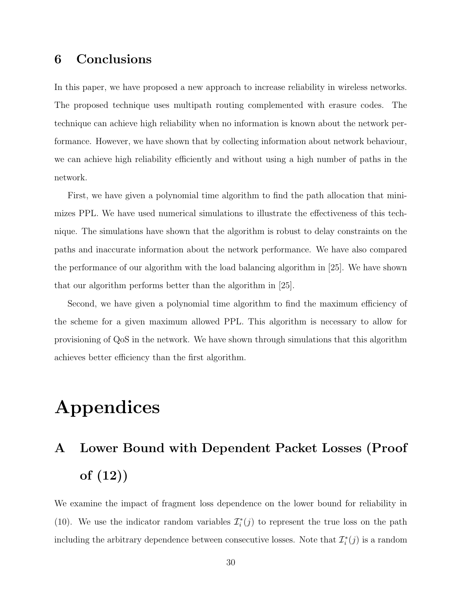## 6 Conclusions

In this paper, we have proposed a new approach to increase reliability in wireless networks. The proposed technique uses multipath routing complemented with erasure codes. The technique can achieve high reliability when no information is known about the network performance. However, we have shown that by collecting information about network behaviour, we can achieve high reliability efficiently and without using a high number of paths in the network.

First, we have given a polynomial time algorithm to find the path allocation that minimizes PPL. We have used numerical simulations to illustrate the effectiveness of this technique. The simulations have shown that the algorithm is robust to delay constraints on the paths and inaccurate information about the network performance. We have also compared the performance of our algorithm with the load balancing algorithm in [25]. We have shown that our algorithm performs better than the algorithm in [25].

Second, we have given a polynomial time algorithm to find the maximum efficiency of the scheme for a given maximum allowed PPL. This algorithm is necessary to allow for provisioning of QoS in the network. We have shown through simulations that this algorithm achieves better efficiency than the first algorithm.

# Appendices

# A Lower Bound with Dependent Packet Losses (Proof of (12))

We examine the impact of fragment loss dependence on the lower bound for reliability in (10). We use the indicator random variables  $\mathcal{I}^*_i$  $i(i)$  to represent the true loss on the path including the arbitrary dependence between consecutive losses. Note that  $\mathcal{I}^*_i$  $i^*(j)$  is a random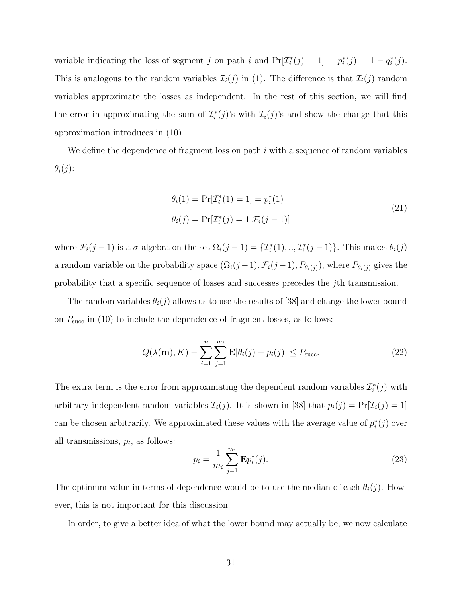variable indicating the loss of segment  $j$  on path  $i$  and  $Pr[\mathcal{I}_i^*]$  $i^*(j) = 1] = p_i^*$  $i^*(j) = 1 - q_i^*$  $i^*(j)$ . This is analogous to the random variables  $\mathcal{I}_i(j)$  in (1). The difference is that  $\mathcal{I}_i(j)$  random variables approximate the losses as independent. In the rest of this section, we will find the error in approximating the sum of  $\mathcal{I}_i^*$  $\mathcal{I}_i(j)$ 's with  $\mathcal{I}_i(j)$ 's and show the change that this approximation introduces in (10).

We define the dependence of fragment loss on path  $i$  with a sequence of random variables  $\theta_i(j)$ :

$$
\theta_i(1) = \Pr[\mathcal{I}_i^*(1) = 1] = p_i^*(1)
$$
  
\n
$$
\theta_i(j) = \Pr[\mathcal{I}_i^*(j) = 1 | \mathcal{F}_i(j-1)]
$$
\n(21)

where  $\mathcal{F}_i(j-1)$  is a  $\sigma$ -algebra on the set  $\Omega_i(j-1) = \{ \mathcal{I}_i^*(1), \dots, \mathcal{I}_i^* \}$  $\{i^*(j-1)\}\$ . This makes  $\theta_i(j)$ a random variable on the probability space  $(\Omega_i(j-1), \mathcal{F}_i(j-1), P_{\theta_i(j)})$ , where  $P_{\theta_i(j)}$  gives the probability that a specific sequence of losses and successes precedes the jth transmission.

The random variables  $\theta_i(j)$  allows us to use the results of [38] and change the lower bound on  $P_{succ}$  in (10) to include the dependence of fragment losses, as follows:

$$
Q(\lambda(\mathbf{m}), K) - \sum_{i=1}^{n} \sum_{j=1}^{m_i} \mathbf{E} |\theta_i(j) - p_i(j)| \le P_{\text{succ}}.
$$
 (22)

The extra term is the error from approximating the dependent random variables  $\mathcal{I}_i^*$  $i^*(j)$  with arbitrary independent random variables  $\mathcal{I}_i(j)$ . It is shown in [38] that  $p_i(j) = \Pr[\mathcal{I}_i(j) = 1]$ can be chosen arbitrarily. We approximated these values with the average value of  $p_i^*$  $i^*(j)$  over all transmissions,  $p_i$ , as follows:

$$
p_i = \frac{1}{m_i} \sum_{j=1}^{m_i} \mathbf{E} p_i^*(j).
$$
 (23)

The optimum value in terms of dependence would be to use the median of each  $\theta_i(j)$ . However, this is not important for this discussion.

In order, to give a better idea of what the lower bound may actually be, we now calculate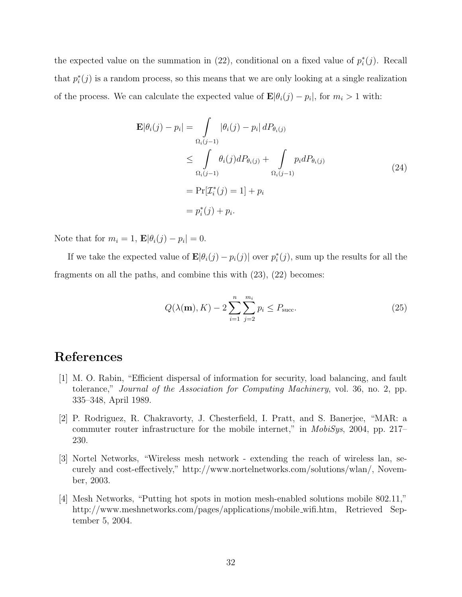the expected value on the summation in  $(22)$ , conditional on a fixed value of  $p_i^*$  $i^*(j)$ . Recall that  $p_i^*$  $i(i)$  is a random process, so this means that we are only looking at a single realization of the process. We can calculate the expected value of  $\mathbf{E}|\theta_i(j) - p_i|$ , for  $m_i > 1$  with:

$$
\mathbf{E}|\theta_i(j) - p_i| = \int_{\Omega_i(j-1)} |\theta_i(j) - p_i| \, dP_{\theta_i(j)}
$$
\n
$$
\leq \int_{\Omega_i(j-1)} \theta_i(j) \, dP_{\theta_i(j)} + \int_{\Omega_i(j-1)} p_i \, dP_{\theta_i(j)}
$$
\n
$$
= \Pr[\mathcal{I}_i^*(j) = 1] + p_i
$$
\n
$$
= p_i^*(j) + p_i.
$$
\n(24)

Note that for  $m_i = 1$ ,  $\mathbf{E}|\theta_i(j) - p_i| = 0$ .

If we take the expected value of  $\mathbf{E}|\theta_i(j) - p_i(j)|$  over  $p_i^*$  $i(i)$ , sum up the results for all the fragments on all the paths, and combine this with (23), (22) becomes:

$$
Q(\lambda(\mathbf{m}), K) - 2 \sum_{i=1}^{n} \sum_{j=2}^{m_i} p_i \le P_{\text{succ}}.
$$
 (25)

# References

- [1] M. O. Rabin, "Efficient dispersal of information for security, load balancing, and fault tolerance," Journal of the Association for Computing Machinery, vol. 36, no. 2, pp. 335–348, April 1989.
- [2] P. Rodriguez, R. Chakravorty, J. Chesterfield, I. Pratt, and S. Banerjee, "MAR: a commuter router infrastructure for the mobile internet," in *MobiSys*, 2004, pp. 217– 230.
- [3] Nortel Networks, "Wireless mesh network extending the reach of wireless lan, securely and cost-effectively," http://www.nortelnetworks.com/solutions/wlan/, November, 2003.
- [4] Mesh Networks, "Putting hot spots in motion mesh-enabled solutions mobile 802.11," http://www.meshnetworks.com/pages/applications/mobile wifi.htm, Retrieved September 5, 2004.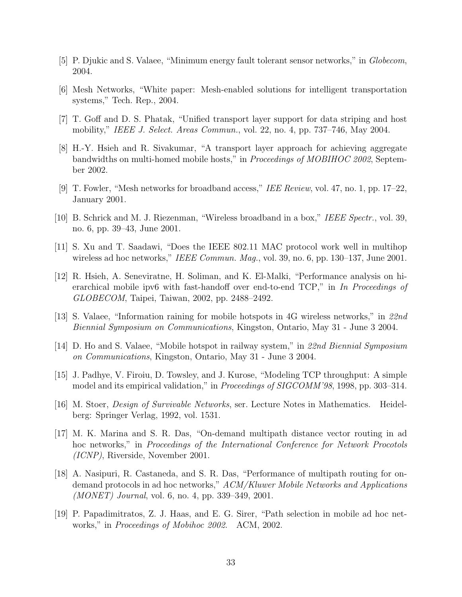- [5] P. Djukic and S. Valaee, "Minimum energy fault tolerant sensor networks," in Globecom, 2004.
- [6] Mesh Networks, "White paper: Mesh-enabled solutions for intelligent transportation systems," Tech. Rep., 2004.
- [7] T. Goff and D. S. Phatak, "Unified transport layer support for data striping and host mobility," IEEE J. Select. Areas Commun., vol. 22, no. 4, pp. 737–746, May 2004.
- [8] H.-Y. Hsieh and R. Sivakumar, "A transport layer approach for achieving aggregate bandwidths on multi-homed mobile hosts," in *Proceedings of MOBIHOC 2002*, September 2002.
- [9] T. Fowler, "Mesh networks for broadband access," IEE Review, vol. 47, no. 1, pp. 17–22, January 2001.
- [10] B. Schrick and M. J. Riezenman, "Wireless broadband in a box," IEEE Spectr., vol. 39, no. 6, pp. 39–43, June 2001.
- [11] S. Xu and T. Saadawi, "Does the IEEE 802.11 MAC protocol work well in multihop wireless ad hoc networks," IEEE Commun. Mag., vol. 39, no. 6, pp. 130–137, June 2001.
- [12] R. Hsieh, A. Seneviratne, H. Soliman, and K. El-Malki, "Performance analysis on hierarchical mobile ipv6 with fast-handoff over end-to-end TCP," in In Proceedings of GLOBECOM, Taipei, Taiwan, 2002, pp. 2488–2492.
- [13] S. Valaee, "Information raining for mobile hotspots in 4G wireless networks," in 22nd Biennial Symposium on Communications, Kingston, Ontario, May 31 - June 3 2004.
- [14] D. Ho and S. Valaee, "Mobile hotspot in railway system," in 22nd Biennial Symposium on Communications, Kingston, Ontario, May 31 - June 3 2004.
- [15] J. Padhye, V. Firoiu, D. Towsley, and J. Kurose, "Modeling TCP throughput: A simple model and its empirical validation," in *Proceedings of SIGCOMM'98*, 1998, pp. 303–314.
- [16] M. Stoer, Design of Survivable Networks, ser. Lecture Notes in Mathematics. Heidelberg: Springer Verlag, 1992, vol. 1531.
- [17] M. K. Marina and S. R. Das, "On-demand multipath distance vector routing in ad hoc networks," in *Proceedings of the International Conference for Network Procotols* (ICNP), Riverside, November 2001.
- [18] A. Nasipuri, R. Castaneda, and S. R. Das, "Performance of multipath routing for ondemand protocols in ad hoc networks," ACM/Kluwer Mobile Networks and Applications (MONET) Journal, vol. 6, no. 4, pp. 339–349, 2001.
- [19] P. Papadimitratos, Z. J. Haas, and E. G. Sirer, "Path selection in mobile ad hoc networks," in Proceedings of Mobihoc 2002. ACM, 2002.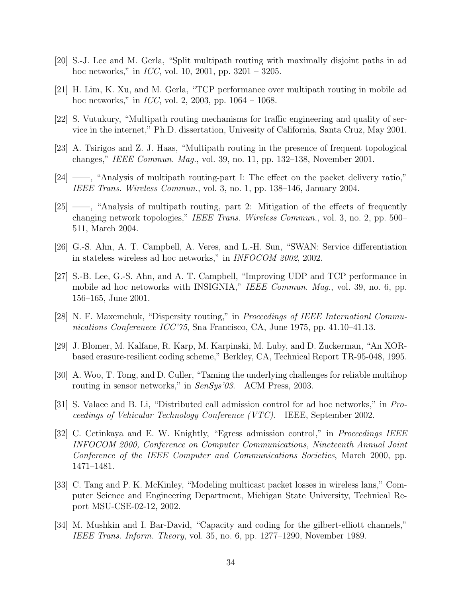- [20] S.-J. Lee and M. Gerla, "Split multipath routing with maximally disjoint paths in ad hoc networks," in *ICC*, vol. 10, 2001, pp.  $3201 - 3205$ .
- [21] H. Lim, K. Xu, and M. Gerla, "TCP performance over multipath routing in mobile ad hoc networks," in *ICC*, vol. 2, 2003, pp.  $1064 - 1068$ .
- [22] S. Vutukury, "Multipath routing mechanisms for traffic engineering and quality of service in the internet," Ph.D. dissertation, Univesity of California, Santa Cruz, May 2001.
- [23] A. Tsirigos and Z. J. Haas, "Multipath routing in the presence of frequent topological changes," IEEE Commun. Mag., vol. 39, no. 11, pp. 132–138, November 2001.
- [24] ——, "Analysis of multipath routing-part I: The effect on the packet delivery ratio," IEEE Trans. Wireless Commun., vol. 3, no. 1, pp. 138–146, January 2004.
- [25] ——, "Analysis of multipath routing, part 2: Mitigation of the effects of frequently changing network topologies," IEEE Trans. Wireless Commun., vol. 3, no. 2, pp. 500– 511, March 2004.
- [26] G.-S. Ahn, A. T. Campbell, A. Veres, and L.-H. Sun, "SWAN: Service differentiation in stateless wireless ad hoc networks," in INFOCOM 2002, 2002.
- [27] S.-B. Lee, G.-S. Ahn, and A. T. Campbell, "Improving UDP and TCP performance in mobile ad hoc netoworks with INSIGNIA," IEEE Commun. Mag., vol. 39, no. 6, pp. 156–165, June 2001.
- [28] N. F. Maxemchuk, "Dispersity routing," in Proceedings of IEEE Internationl Communications Conferenece ICC'75, Sna Francisco, CA, June 1975, pp. 41.10–41.13.
- [29] J. Blomer, M. Kalfane, R. Karp, M. Karpinski, M. Luby, and D. Zuckerman, "An XORbased erasure-resilient coding scheme," Berkley, CA, Technical Report TR-95-048, 1995.
- [30] A. Woo, T. Tong, and D. Culler, "Taming the underlying challenges for reliable multihop routing in sensor networks," in SenSys'03. ACM Press, 2003.
- [31] S. Valaee and B. Li, "Distributed call admission control for ad hoc networks," in Proceedings of Vehicular Technology Conference (VTC). IEEE, September 2002.
- [32] C. Cetinkaya and E. W. Knightly, "Egress admission control," in *Proceedings IEEE* INFOCOM 2000, Conference on Computer Communications, Nineteenth Annual Joint Conference of the IEEE Computer and Communications Societies, March 2000, pp. 1471–1481.
- [33] C. Tang and P. K. McKinley, "Modeling multicast packet losses in wireless lans," Computer Science and Engineering Department, Michigan State University, Technical Report MSU-CSE-02-12, 2002.
- [34] M. Mushkin and I. Bar-David, "Capacity and coding for the gilbert-elliott channels," IEEE Trans. Inform. Theory, vol. 35, no. 6, pp. 1277–1290, November 1989.